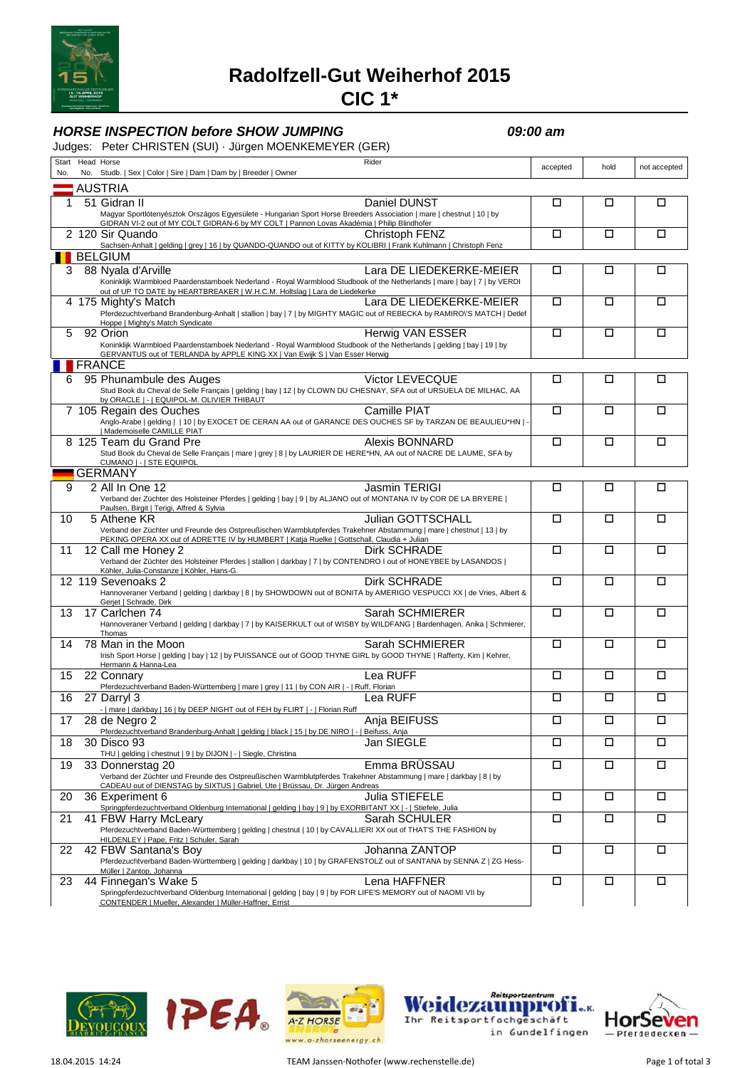

## **Radolfzell-Gut Weiherhof 2015**

**CIC 1\***

### **HORSE INSPECTION before SHOW JUMPING 09:00 am**

Judges: Peter CHRISTEN (SUI) · Jürgen MOENKEMEYER (GER)

| No. |                | Start Head Horse<br>Rider<br>No. Studb.   Sex   Color   Sire   Dam   Dam by   Breeder   Owner                                                                                                                       |  | accepted | hold   | not accepted |
|-----|----------------|---------------------------------------------------------------------------------------------------------------------------------------------------------------------------------------------------------------------|--|----------|--------|--------------|
|     | <b>AUSTRIA</b> |                                                                                                                                                                                                                     |  |          |        |              |
|     |                | 51 Gidran II<br>Daniel DUNST                                                                                                                                                                                        |  | □        | □      | □            |
|     |                | Magyar Sportlótenyésztok Országos Egyesülete - Hungarian Sport Horse Breeders Association   mare   chestnut   10   by<br>GIDRAN VI-2 out of MY COLT GIDRAN-6 by MY COLT   Pannon Lovas Akadémia   Philip Blindhofer |  |          |        |              |
|     |                | 2 120 Sir Quando<br>Christoph FENZ                                                                                                                                                                                  |  | □        | □      | □            |
|     |                | Sachsen-Anhalt   gelding   grey   16   by QUANDO-QUANDO out of KITTY by KOLIBRI   Frank Kuhlmann   Christoph Fenz                                                                                                   |  |          |        |              |
| 3   |                | <b>BELGIUM</b><br>88 Nyala d'Arville<br>Lara DE LIEDEKERKE-MEIER                                                                                                                                                    |  | □        | □      | □            |
|     |                | Koninklijk Warmbloed Paardenstamboek Nederland - Royal Warmblood Studbook of the Netherlands   mare   bay   7   by VERDI<br>out of UP TO DATE by HEARTBREAKER   W.H.C.M. Holtslag   Lara de Liedekerke              |  |          |        |              |
|     |                | 4 175 Mighty's Match<br>Lara DE LIEDEKERKE-MEIER<br>Pferdezuchtverband Brandenburg-Anhalt   stallion   bay   7   by MIGHTY MAGIC out of REBECKA by RAMIRO\'S MATCH   Detlef                                         |  | П        | □      | П            |
| 5   |                | Hoppe   Mighty's Match Syndicate<br>92 Orion<br>Herwig VAN ESSER                                                                                                                                                    |  | □        | □      | $\Box$       |
|     |                | Koninklijk Warmbloed Paardenstamboek Nederland - Royal Warmblood Studbook of the Netherlands   gelding   bay   19   by<br>GERVANTUS out of TERLANDA by APPLE KING XX   Van Ewijk S   Van Esser Herwig               |  |          |        |              |
|     |                | <b>FRANCE</b>                                                                                                                                                                                                       |  |          |        |              |
| 6   |                | Victor LEVECQUE<br>95 Phunambule des Auges                                                                                                                                                                          |  | □        | □      | □            |
|     |                | Stud Book du Cheval de Selle Français   gelding   bay   12   by CLOWN DU CHESNAY, SFA out of URSUELA DE MILHAC, AA<br>by ORACLE   -   EQUIPOL-M. OLIVIER THIBAUT                                                    |  |          |        |              |
|     |                | Camille PIAT<br>7 105 Regain des Ouches                                                                                                                                                                             |  | □        | □      | □            |
|     |                | Anglo-Arabe   gelding     10   by EXOCET DE CERAN AA out of GARANCE DES OUCHES SF by TARZAN DE BEAULIEU*HN   -<br>  Mademoiselle CAMILLE PIAT                                                                       |  |          |        |              |
|     |                | 8 125 Team du Grand Pre<br>Alexis BONNARD                                                                                                                                                                           |  | □        | □      | □            |
|     |                | Stud Book du Cheval de Selle Français   mare   grey   8   by LAURIER DE HERE*HN, AA out of NACRE DE LAUME, SFA by<br>CUMANO   -   STE EQUIPOL                                                                       |  |          |        |              |
|     |                | <b>GERMANY</b>                                                                                                                                                                                                      |  |          |        |              |
| 9   |                | 2 All In One 12<br>Jasmin TERIGI                                                                                                                                                                                    |  | □        | □      | □            |
|     |                | Verband der Züchter des Holsteiner Pferdes   gelding   bay   9   by ALJANO out of MONTANA IV by COR DE LA BRYERE  <br>Paulsen, Birgit   Terigi, Alfred & Sylvia                                                     |  |          |        |              |
| 10  |                | <b>Julian GOTTSCHALL</b><br>5 Athene KR                                                                                                                                                                             |  | П        | П      | П            |
|     |                | Verband der Züchter und Freunde des Ostpreußischen Warmblutpferdes Trakehner Abstammung   mare   chestnut   13   by<br>PEKING OPERA XX out of ADRETTE IV by HUMBERT   Katja Ruelke   Gottschall, Claudia + Julian   |  |          |        |              |
| 11  |                | 12 Call me Honey 2<br>Dirk SCHRADE                                                                                                                                                                                  |  | □        | □      | □            |
|     |                | Verband der Züchter des Holsteiner Pferdes   stallion   darkbay   7   by CONTENDRO I out of HONEYBEE by LASANDOS                                                                                                    |  |          |        |              |
|     |                | Köhler, Julia-Constanze   Köhler, Hans-G.<br><b>Dirk SCHRADE</b><br>12 119 Sevenoaks 2                                                                                                                              |  | □        | □      | □            |
|     |                | Hannoveraner Verband   gelding   darkbay   8   by SHOWDOWN out of BONITA by AMERIGO VESPUCCI XX   de Vries, Albert &                                                                                                |  |          |        |              |
| 13  |                | Gerjet   Schrade, Dirk<br>17 Carlchen 74<br>Sarah SCHMIERER                                                                                                                                                         |  | □        | □      | □            |
|     |                | Hannoveraner Verband   gelding   darkbay   7   by KAISERKULT out of WISBY by WILDFANG   Bardenhagen, Anika   Schmierer,                                                                                             |  |          |        |              |
| 14  |                | Thomas<br>Sarah SCHMIERER<br>78 Man in the Moon                                                                                                                                                                     |  | □        | □      | □            |
|     |                | Irish Sport Horse   gelding   bay   12   by PUISSANCE out of GOOD THYNE GIRL by GOOD THYNE   Rafferty, Kim   Kehrer,                                                                                                |  |          |        |              |
| 15  |                | Hermann & Hanna-Lea<br>22 Connary<br>Lea RUFF                                                                                                                                                                       |  | □        | $\Box$ | □            |
|     |                | Pferdezuchtverband Baden-Württemberg   mare   grey   11   by CON AIR   -   Ruff, Florian                                                                                                                            |  |          |        |              |
| 16  |                | Lea RUFF<br>27 Darryl 3<br>-   mare   darkbay   16   by DEEP NIGHT out of FEH by FLIRT   -   Florian Ruff                                                                                                           |  | □        | □      | □            |
| 17  |                | Ania BEIFUSS<br>28 de Nearo 2<br>Pferdezuchtverband Brandenburg-Anhalt   gelding   black   15   by DE NIRO   -   Beifuss, Anja                                                                                      |  | $\Box$   | $\Box$ | $\Box$       |
| 18  |                | 30 Disco 93<br>Jan SIEGLE                                                                                                                                                                                           |  | $\Box$   | $\Box$ | $\Box$       |
| 19  |                | THU   gelding   chestnut   9   by DIJON   -   Siegle, Christina<br>Emma BRÜSSAU<br>33 Donnerstag 20                                                                                                                 |  | $\Box$   | □      | □            |
|     |                | Verband der Züchter und Freunde des Ostpreußischen Warmblutpferdes Trakehner Abstammung   mare   darkbay   8   by<br>CADEAU out of DIENSTAG by SIXTUS   Gabriel, Ute   Brüssau, Dr. Jürgen Andreas                  |  |          |        |              |
| 20  |                | Julia STIEFELE<br>36 Experiment 6<br>Springpferdezuchtverband Oldenburg International   gelding   bay   9   by EXORBITANT XX   -   Stiefele, Julia                                                                  |  | $\Box$   | $\Box$ | □            |
| 21  |                | 41 FBW Harry McLeary<br>Sarah SCHULER                                                                                                                                                                               |  | $\Box$   | $\Box$ | □            |
|     |                | Pferdezuchtverband Baden-Württemberg   gelding   chestnut   10   by CAVALLIERI XX out of THAT'S THE FASHION by<br>HILDENLEY   Pape, Fritz   Schuler, Sarah                                                          |  |          |        |              |
| 22  |                | Johanna ZANTOP<br>42 FBW Santana's Boy                                                                                                                                                                              |  | $\Box$   | $\Box$ | □            |
|     |                | Pferdezuchtverband Baden-Württemberg   gelding   darkbay   10   by GRAFENSTOLZ out of SANTANA by SENNA Z   ZG Hess-<br>Müller   Zantop, Johanna                                                                     |  |          |        |              |
| 23  |                | 44 Finnegan's Wake 5<br>Lena HAFFNER                                                                                                                                                                                |  | □        | □      | $\Box$       |
|     |                | Springpferdezuchtverband Oldenburg International   gelding   bay   9   by FOR LIFE'S MEMORY out of NAOMI VII by<br>CONTENDER   Mueller, Alexander   Müller-Haffner, Ernst                                           |  |          |        |              |







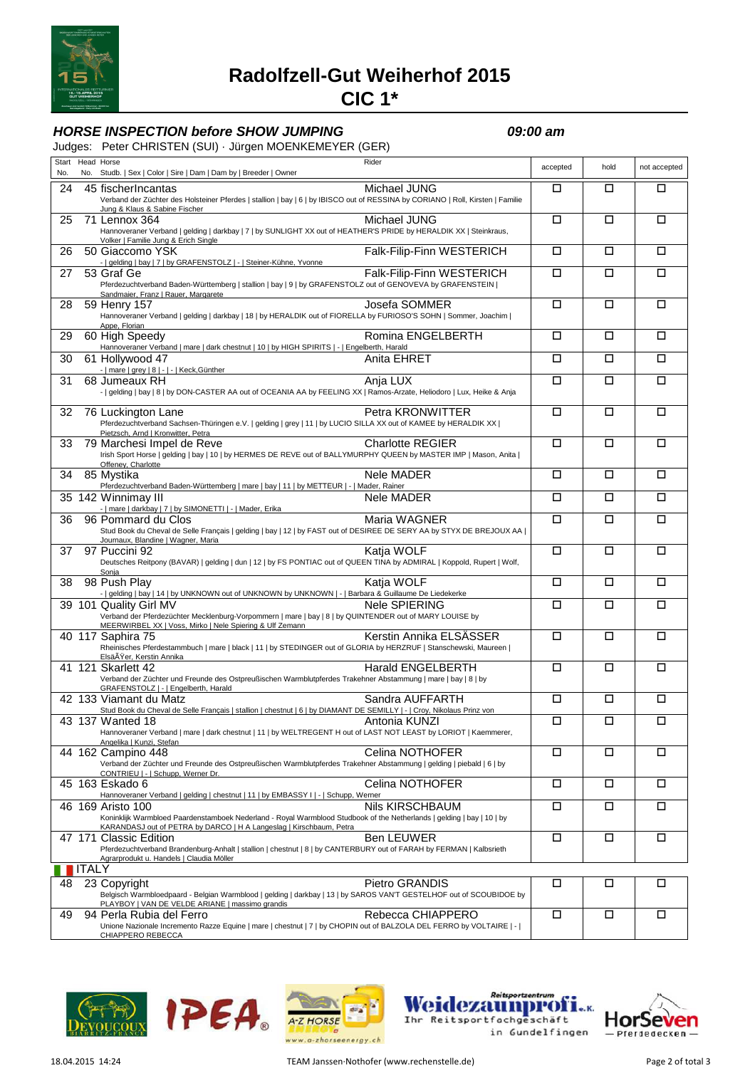

# **Radolfzell-Gut Weiherhof 2015**

# **CIC 1\***

## **HORSE INSPECTION before SHOW JUMPING CONVIDUAL CONTROL CONTROL CONTROL CONTROL CONTROL CONTROL CONTROL CONTROL**

#### Judges: Peter CHRISTEN (SUI) · Jürgen MOENKEMEYER (GER)

| No. | Start Head Horse | Rider<br>No. Studb.   Sex   Color   Sire   Dam   Dam by   Breeder   Owner                                                                                                                                                                | accepted             | hold   | not accepted |
|-----|------------------|------------------------------------------------------------------------------------------------------------------------------------------------------------------------------------------------------------------------------------------|----------------------|--------|--------------|
| 24  |                  | Michael JUNG<br>45 fischerIncantas<br>Verband der Züchter des Holsteiner Pferdes   stallion   bay   6   by IBISCO out of RESSINA by CORIANO   Roll, Kirsten   Familie<br>Jung & Klaus & Sabine Fischer                                   | П                    | □      | □            |
| 25  |                  | 71 Lennox 364<br>Michael JUNG<br>Hannoveraner Verband   gelding   darkbay   7   by SUNLIGHT XX out of HEATHER'S PRIDE by HERALDIK XX   Steinkraus,<br>Volker   Familie Jung & Erich Single                                               | $\Box$               | □      | О            |
| 26  |                  | Falk-Filip-Finn WESTERICH<br>50 Giaccomo YSK<br>-   gelding   bay   7   by GRAFENSTOLZ   -   Steiner-Kühne, Yvonne                                                                                                                       | □                    | □      | □            |
| 27  |                  | 53 Graf Ge<br>Falk-Filip-Finn WESTERICH<br>Pferdezuchtverband Baden-Württemberg   stallion   bay   9   by GRAFENSTOLZ out of GENOVEVA by GRAFENSTEIN                                                                                     | □                    | □      | □            |
| 28  |                  | Conditional Prince   Rauer, Margarete<br>  John / 157<br>Josefa SOMMER<br>59 Henry 157<br>Hannoveraner Verband   gelding   darkbay   18   by HERALDIK out of FIORELLA by FURIOSO'S SOHN   Sommer, Joachim  <br>Appe, Florian             | □                    | □      | □            |
| 29  |                  | Romina ENGELBERTH<br>60 High Speedy<br>Hannoveraner Verband   mare   dark chestnut   10   by HIGH SPIRITS   -   Engelberth, Harald                                                                                                       | □                    | □      | □            |
| 30  |                  | 61 Hollywood 47<br>Anita EHRET                                                                                                                                                                                                           | □                    | □      | О            |
| 31  |                  | 68 Jumeaux RH<br>Anja LUX<br>-   gelding   bay   8   by DON-CASTER AA out of OCEANIA AA by FEELING XX   Ramos-Arzate, Heliodoro   Lux, Heike & Anja                                                                                      | □                    | □      | □            |
| 32  |                  | Petra KRONWITTER<br>76 Luckington Lane<br>Pferdezuchtverband Sachsen-Thüringen e.V.   gelding   grey   11   by LUCIO SILLA XX out of KAMEE by HERALDIK XX                                                                                | □                    | □      | □            |
| 33  |                  | Pietzsch, Arnd   Kronwitter, Petra<br>79 Marchesi Impel de Reve<br>79 Marchesi Impel de Reve<br>Irish Sport Horse   gelding   bay   10   by HERMES DE REVE out of BALLYMURPHY QUEEN by MASTER IMP   Mason, Anita  <br>Offeney, Charlotte | □                    | □      | □            |
| 34  |                  | 85 Mystika<br>Nele MADER<br>Pferdezuchtverband Baden-Württemberg   mare   bay   11   by METTEUR   -   Mader, Rainer                                                                                                                      | □                    | □      | □            |
|     |                  | <b>Nele MADER</b><br>35 142 Winnimay III<br>Winnimay III<br><u>-   mare   darkbay   7   by SIMONETTI   -   Mader, Erika<br/>Pommard du Clos</u>                                                                                          | $\Box$               | □      | О            |
| 36  |                  | 96 Pommard du Clos<br>Maria WAGNER<br>Stud Book du Cheval de Selle Français   gelding   bay   12   by FAST out of DESIREE DE SERY AA by STYX DE BREJOUX AA  <br>Journaux, Blandine   Wagner, Maria                                       | П                    | □      | □            |
| 37  |                  | Katja WOLF<br>97 Puccini 92<br>Deutsches Reitpony (BAVAR)   gelding   dun   12   by FS PONTIAC out of QUEEN TINA by ADMIRAL   Koppold, Rupert   Wolf,<br>Sonja                                                                           | □                    | □      | □            |
| 38  |                  | Katja WOLF<br>98 Push Play<br>-   gelding   bay   14   by UNKNOWN out of UNKNOWN by UNKNOWN   -   Barbara & Guillaume De Liedekerke                                                                                                      | □                    | $\Box$ | □            |
|     |                  | 39 101 Quality Girl MV<br>Nele SPIERING<br>Verband der Pferdezüchter Mecklenburg-Vorpommern   mare   bay   8   by QUINTENDER out of MARY LOUISE by<br>MEERWIRBEL XX   Voss, Mirko   Nele Spiering & Ulf Zemann                           | $\Box$               | □      | О            |
|     |                  | 40 117 Saphira 75<br>Kerstin Annika ELSASSER<br>Rheinisches Pferdestammbuch   mare   black   11   by STEDINGER out of GLORIA by HERZRUF   Stanschewski, Maureen  <br>ElsäÄŸer, Kerstin Annika                                            | □                    | □      | □            |
|     |                  | 41 121 Skarlett 42<br>Harald ENGELBERTH<br>Verband der Züchter und Freunde des Ostpreußischen Warmblutpferdes Trakehner Abstammung   mare   bay   8   by<br>GRAFENSTOLZ   -   Engelberth, Harald                                         | $\Box$               | □      | □            |
|     |                  | 42 133 Viamant du Matz<br>Sandra AUFFARTH<br>Stud Book du Cheval de Selle Français   stallion   chestnut   6   by DIAMANT DE SEMILLY   -   Croy, Nikolaus Prinz von                                                                      | □                    | $\Box$ | □            |
|     |                  | Antonia KUNZI<br>43 137 Wanted 18<br>Hannoveraner Verband   mare   dark chestnut   11   by WELTREGENT H out of LAST NOT LEAST by LORIOT   Kaemmerer,<br>Angelika   Kunzi, Stefan                                                         | $\overline{\square}$ | ப      | ப            |
|     |                  | Celina NOTHOFER<br>44 162 Campino 448<br>Verband der Züchter und Freunde des Ostpreußischen Warmblutpferdes Trakehner Abstammung   gelding   piebald   6   by<br>CONTRIEU   -   Schupp, Werner Dr.                                       | □                    | □      | □            |
|     |                  | Celina NOTHOFER<br>45 163 Eskado 6<br>Hannoveraner Verband   gelding   chestnut   11   by EMBASSY     -   Schupp, Werner                                                                                                                 | □                    | □      | □            |
|     |                  | Nils KIRSCHBAUM<br>46 169 Aristo 100<br>Koninklijk Warmbloed Paardenstamboek Nederland - Royal Warmblood Studbook of the Netherlands   gelding   bay   10   by<br>KARANDASJ out of PETRA by DARCO   H A Langeslag   Kirschbaum, Petra    | $\Box$               | $\Box$ | $\Box$       |
|     | 47 171           | <b>Ben LEUWER</b><br><b>Classic Edition</b><br>Pferdezuchtverband Brandenburg-Anhalt   stallion   chestnut   8   by CANTERBURY out of FARAH by FERMAN   Kalbsrieth<br>Agrarprodukt u. Handels   Claudia Möller                           | $\Box$               | □      | □            |
|     | <b>ITALY</b>     |                                                                                                                                                                                                                                          |                      |        |              |
| 48  |                  | Pietro GRANDIS<br>23 Copyright<br>Belgisch Warmbloedpaard - Belgian Warmblood   gelding   darkbay   13   by SAROS VAN'T GESTELHOF out of SCOUBIDOE by<br>PLAYBOY   VAN DE VELDE ARIANE   massimo grandis                                 | □                    | □      | □            |
| 49  |                  | Rebecca CHIAPPERO<br>94 Perla Rubia del Ferro<br>Unione Nazionale Incremento Razze Equine   mare   chestnut   7   by CHOPIN out of BALZOLA DEL FERRO by VOLTAIRE   -  <br>CHIAPPERO REBECCA                                              | $\Box$               | $\Box$ | $\Box$       |